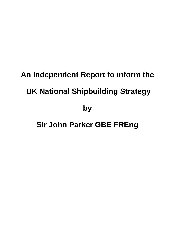# **An Independent Report to inform the UK National Shipbuilding Strategy**

**by** 

# **Sir John Parker GBE FREng**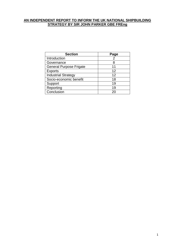#### **AN INDEPENDENT REPORT TO INFORM THE UK NATIONAL SHIPBUILDING STRATEGY BY SIR JOHN PARKER GBE FREng**

| <b>Section</b>                 | Page           |
|--------------------------------|----------------|
| Introduction                   | 2              |
| Governance                     | 8              |
| <b>General Purpose Frigate</b> | 11             |
| <b>Exports</b>                 | 12             |
| <b>Industrial Strategy</b>     | 12             |
| Socio-economic benefit         | 18             |
| Support                        | 19             |
| Reporting                      | 19             |
| Conclusion                     | 2 <sub>1</sub> |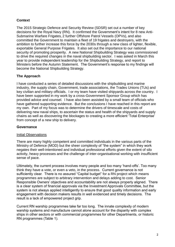# **Context**

The 2015 Strategic Defence and Security Review (SDSR) set out a number of key decisions for the Royal Navy (RN). It confirmed the Government's intent for 8 new Anti-Submarine Warfare Frigates, 2 further Offshore Patrol Vessels (OPVs), and also committed the Government to maintain a fleet of 19 frigates and destroyers, with the ambition to further increase this force by the 2030s through a new class of lighter, flexible, exportable General Purpose Frigates. It also set out the importance to our national security of promoting prosperity. A new National Shipbuilding Strategy was commissioned to drive the required changes in the naval shipbuilding sector. I was asked in March this year to provide independent leadership for the Shipbuilding Strategy, and report to Ministers before the Autumn Statement. The Government's response to my findings will become the National Shipbuilding Strategy.

## **The Approach**

I have conducted a series of detailed discussions with the shipbuilding and marine industry, the supply chain, Government, trade associations, the Trades Unions (TUs) and key civilian and military officials. I or my team have visited shipyards across the country. I have been supported in my work by a cross-Government Sponsor Group which has provided advice and counsel. I have also been assisted by a small team of officials who have gathered supporting evidence. But the conclusions I have reached in this report are my own. Part of my focus was to determine the drivers of timescale and costs of delivering new naval ships, to ascertain the status and health of the shipyards and supply chains as well as discovering the blockages to creating a more efficient 'Total Enterprise' from concept of a new ship to delivery.

#### **Governance**

#### Initial Observations

There are many highly competent and committed individuals in the various parts of the Ministry of Defence (MOD) but the sheer complexity of "the system" in which they work negates their well-intentioned and individual professional efforts given the extent of silo activity, heavy processes and the challenge of inter-organisational working with insufficient sense of pace.

Ultimately, the current process involves many people and too many 'hand-offs'. Too many think they have a vote, or even a veto, in the process. Current governance is not sufficiently clear. There is no assured "Capital budget" for a RN project which means programmes are subject to arbitrary intervention and delays adding to cost. Senior Responsible Owners' objectives and accountability are not always properly aligned. There is a clear system of financial approvals via the Investment Approvals Committee, but the system is not always applied intelligently to ensure that good quality information and early engagement with decision makers results in well evidenced and timely decisions. The result is a lack of empowered project grip.

Current RN warship programmes take far too long. The innate complexity of modern warship systems and manufacture cannot alone account for the disparity with complex ships in other sectors or with commercial programmes for other Departments, or historic RN programmes (Table 1).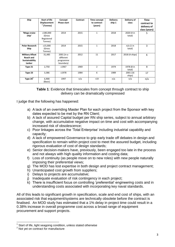| Ship                                                                          | <b>Start of life</b><br><b>Displacement</b><br>$1$ (Tonnes) | Concept<br>Phase start                            | Contract | Time concept<br>to contract<br>(years) | <b>Delivery</b><br>ship 1 | Delivery of<br>class | Time<br>contract to<br>delivery of<br>class (years) |
|-------------------------------------------------------------------------------|-------------------------------------------------------------|---------------------------------------------------|----------|----------------------------------------|---------------------------|----------------------|-----------------------------------------------------|
| 'Mega cruise<br>ship'                                                         | c180,000<br>(Gross<br>Registered<br>Tonnes)                 | 2014                                              | 2015     | $\mathbf{1}$                           | 2018                      | 2020 (4 in<br>total) | 5                                                   |
| <b>Polar Research</b><br>Ship                                                 | c15,000<br>(Gross<br>Tonnes)                                | 2014                                              | 2015     | $\mathbf{1}$                           | 2018                      | n/a(1 in<br>total)   | 3                                                   |
| <b>Military Afloat</b><br><b>Reach and</b><br><b>Sustainability</b><br>tanker | 31,485                                                      | 2001 (in a<br>different<br>programme<br>boundary) | 2012     | 11                                     | 2017                      | 2018 (4 ships)       | 6                                                   |
| Type 21                                                                       | 2,750                                                       | c1967                                             | 1969     | $\overline{2}$                         | 1974                      | 1978 (8 in<br>total) | 9                                                   |
| Type 23                                                                       | 3,386                                                       | c1978                                             | 1984     | 6                                      | 1989                      | 2001 (16<br>ships)   | 17                                                  |
| Type $26^2$                                                                   | 6,900<br>(Basic)                                            | 1997                                              | n/a      | $>19$                                  | n/a                       | n/a                  | n/a                                                 |

**Table 1**: Evidence that timescales from concept through contract to ship delivery can be dramatically compressed

I judge that the following has happened:

- a) A lack of an overriding Master Plan for each project from the Sponsor with key dates expected to be met by the RN Client;
- b) A lack of assured Capital budget per RN ship series, subject to annual arbitrary change, with accumulative negative impact on time and cost with accompanying increased risk of obsolescence;
- c) Poor linkages across the 'Total Enterprise' including industrial capability and capacity;
- d) A lack of empowered Governance to grip early trade off debates in design and specification to remain within project cost to meet the assured budget, including rigorous evaluation of cost of design standards;
- e) Senior decision-makers have, previously, been engaged too late in the process and not always with high quality information and costing data;
- f) Loss of continuity (as people move on to new roles) with new people naturally imposing their preferential views;
- g) The MOD has lost expertise in both design and project contract management;
- h) Unanticipated cost growth from suppliers;
- i) Delays to projects are accumulative;
- i) Inadequate evaluation of risk contingency in each project:
- k) There is insufficient focus on controlling 'preferential' engineering costs and in understanding costs associated with incorporating key naval standards.

All of this leads to significant growth in specification, scale and end cost of ships, with an associated risk that equipment/systems are technically obsolete before the contract is finalised. An MOD study has estimated that a 1% delay in project time could result in a 0.38% increase in overall programme cost across a broad range of equipment procurement and support projects.

 1 Start of life, light seagoing condition, unless stated otherwise

<sup>&</sup>lt;sup>2</sup> Not yet on contract for manufacture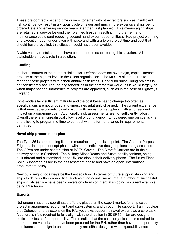These pre-contract cost and time drivers, together with other factors such as insufficient risk contingency, result in a vicious cycle of fewer and much more expensive ships being ordered late and entering service years later than first planned. This means aging ships are retained in service beyond their planned lifespan resulting in further refit and maintenance costs (and reducing second hand export opportunities). Had project planning and execution been undertaken with pace and with a grip on project time and cost that should have prevailed, this situation could have been avoided.

A wide variety of stakeholders have contributed to exacerbating this situation. All stakeholders have a role in a solution.

# **Funding**

In sharp contrast to the commercial sector, Defence does not own major, capital intense projects at the highest level in the Client organisation. The MOD is also required to manage these projects within their annual cash limits. Capital for shipbuilding projects is not consistently assured (or 'ring fenced' as in the commercial world) as it would largely be when major national infrastructure projects are approved, such as in the case of Highways England.

Cost models lack sufficient maturity and the cost base has to change too often as specifications are not gripped and timescales arbitrarily changed. The current experience is that unexpected/unanticipated cost growth arises from suppliers, with a consequent impact on programme cost. Additionally, risk assessments are not sufficiently robust. Overall there is an unrealistically low level of contingency. Empowered grip on cost is vital and sticking to programme time to contract with no further change in requirements permitted.

#### **Naval ship procurement plan**

The Type 26 is approaching its main manufacturing decision point. The General Purpose Frigate is in its pre-concept phase, with some indicative design options being assessed. The OPVs are under construction at BAES Govan. The Aircraft Carriers are in their delivery phase in Scotland. The Military Afloat Reach and Sustainability tankers, being built abroad and customised in the UK, are also in their delivery phase. The future Fleet Solid Support ships are in their assessment phase and have an open, international procurement policy.

New build might not always be the best solution. In terms of future support shipping and ships to deliver other capabilities, such as mine countermeasures, a number of successful ships in RN service have been conversions from commercial shipping, a current example being RFA Argus.

# **Exports**

Not enough national, coordinated effort is placed on the export market for ship sales, project management, equipment and sub-systems, and through life support. I am not clear that Defence, and by extension the RN, yet views support to naval exports as a core task. A cultural shift is required to fully align with the direction in SDSR15. Nor are designs sufficiently tested for exportability. The result is that the sales organisation is required to market those vessels that have been procured for the RN, rather than have the opportunity to influence the design to ensure that they are either designed with exportability more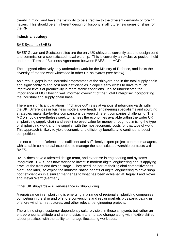clearly in mind, and have the flexibility to be attractive to the different demands of foreign navies. This should be an inherent design philosophy in all future new series of ships for the RN.

#### **Industrial strategy**

#### BAE Systems (BAES)

BAES' Govan and Scotstoun sites are the only UK shipyards currently used to design build and commission a sophisticated naval warship. This is currently an exclusive position held under the Terms of Business Agreement between BAES and MOD.

The shipyard effectively only undertakes work for the Ministry of Defence, and lacks the diversity of marine work witnessed in other UK shipyards (see below).

As a result, gaps in the industrial programmes at the shipyard and in the total supply chain add significantly to end cost and inefficiencies. Scope clearly exists to drive to much improved levels of productivity in more stable conditions. It also underscores the importance of MOD having well informed oversight of the 'Total Enterprise' incorporating the industrial and supply chain base.

There are significant variations in "charge out" rates at various shipbuilding yards within the UK. Differences in business models, overheads, engineering specialisms and sourcing strategies make like-for-like comparisons between different companies challenging. The MOD should nevertheless seek to harness the economies available within the wider UK shipbuilding supply chain and seek improved value for money through optimising the type of shipbuilding work and the supplier with the most economic costs for that type of work. This approach is likely to yield economic and efficiency benefits and continue to boost competition.

It is not clear that Defence has sufficient and sufficiently expert project contract managers, with suitable commercial expertise, to manage the sophisticated warship contracts with BAES.

BAES does have a talented design team, and expertise in engineering and systems integration. BAES has now started to invest in modern digital engineering and is applying it well at the front end design stage. They need, as part of their "global competitiveness plan" (see later), to exploit the industrialisation benefit of digital engineering to drive shop floor efficiencies in a similar manner as to what has been achieved at Jaguar Land Rover and Meyer Werft (Germany).

#### Other UK shipyards – A Renaissance in Shipbuilding

A renaissance in shipbuilding is emerging in a range of regional shipbuilding companies competing in the ship and offshore conversions and repair markets plus participating in offshore wind farm structures, and other relevant engineering projects.

There is no single customer dependency culture visible in these shipyards but rather an entrepreneurial attitude and an enthusiasm to embrace change along with flexible skilled labour practices with the ability to manage fluctuating workloads.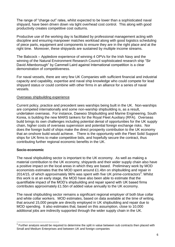The range of "charge out" rates, whilst expected to be lower than a sophisticated naval shipyard, have been driven down via tight overhead cost control. This along with good productivity creates competitive cost outturns.

Productive use of the working day is facilitated by professional management acting with discipline and ensuring manpower matches workload along with good logistics scheduling of piece parts, equipment and components to ensure they are in the right place and at the right time. Moreover, these shipyards are sustained by multiple income streams.

The Babcock – Appledore experience of winning 4 OPVs for the Irish Navy and the winning of the Natural Environment Research Council sophisticated research ship "Sir David Attenborough" by Cammell Laird against International competition is a clear demonstration of competitiveness.

For naval vessels, there are very few UK Companies with sufficient financial and industrial capacity and capability, expertise and naval ship knowledge who could compete for lead shipyard status or could combine with other firms in an alliance for a series of naval vessels.

#### Overseas shipbuilding experience

Current policy, practice and precedent sees warships being built in the UK. Non-warships are competed internationally and some non-warship shipbuilding is, as a result, undertaken overseas. For instance, Daewoo Shipbuilding and Marine Engineering, South Korea, is building the new MARS tankers for the Royal Fleet Auxiliary (RFA). Overseas build brings its own challenges including potential denial of opportunities for the UK supply chain, higher costs of overseas supervision and potential foreign exchange risks. Nor does the foreign build of ships make the direct prosperity contribution to the UK economy that an onshore build would achieve. There is the opportunity with the Fleet Solid Support ships for UK firms to make competitive bids, and hopefully secure the contract, thus contributing further regional economic benefits in the UK.

#### **Socio-economic**

The naval shipbuilding sector is important to the UK economy. As well as making a material contribution to the UK economy, shipyards and their wider supply chain also have a positive impact on the local areas in which they are based. Preliminary work by MOD economists estimates that the MOD spent around £1.4bn on shipbuilding and repair in 2014/15, of which approximately 96% was spent with five UK prime-contractors<sup>3</sup>. Whilst this work is at an early stage, the MOD have also been able to estimate that the quantifiable impact of the MOD's shipbuilding and repair spend with UK based firms contributes approximately £1.5bn of added value annually to the UK economy.

The naval shipbuilding sector remains a significant regional employer of both blue collar and white collar workers. MOD estimates, based on data available at the time of writing, that around 15,000 people are directly employed in UK shipbuilding and repair due to MOD spending. It also estimates that, based on this assumption, close to 10,000 additional jobs are indirectly supported through the wider supply chain in the UK.

 3 Further analysis would be required to determine the split in value between sub contracts then placed with Small and Medium Enterprises and between UK and foreign companies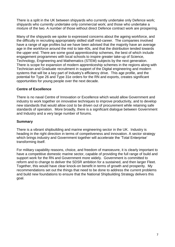There is a split in the UK between shipyards who currently undertake only Defence work; shipyards who currently undertake only commercial work; and those who undertake a mixture of the two. A number of those without direct Defence contract work are prospering.

Many of the shipyards we spoke to expressed concerns about the ageing workforce, and the difficulty in recruiting appropriately skilled staff mid-career. The companies involved have a range of age profiles but we have been advised that the majority have an average age in the workforce around the mid to late-40s, and that the distribution tended towards the upper end. There are some good apprenticeship schemes, the best of which include engagement programmes with local schools to inspire greater take-up of Science, Technology, Engineering and Mathematics (STEM) subjects by the next generation. There is scope for expansion of modern apprenticeship schemes in the regions along with Technician and Graduate recruitment in support of the Digital engineering and modern systems that will be a key part of Industry's efficiency drive. This age profile, and the potential for Type 26 and Type 31e orders for the RN and exports, creates significant opportunities for young people over the next decade.

#### **Centre of Excellence**

There is no naval Centre of Innovation or Excellence which would allow Government and industry to work together on innovative techniques to improve productivity, and to develop new standards that would allow cost to be driven out of procurement while retaining safe standards of operation. More broadly, there is a significant dialogue between Government and Industry and a very large number of forums.

#### **Summary**

There is a vibrant shipbuilding and marine engineering sector in the UK. Industry is heading in the right direction in terms of competiveness and innovation. A sector strategy which brings industry and Government together will accelerate the 'Total Enterprise' transforming itself.

For military capability reasons, choice, and freedom of manoeuvre, it is clearly important to have a competitive domestic marine sector, capable of providing the full range of build and support work for the RN and Government more widely. Government is committed to reform and to change to deliver the SDSR ambition for a sustained, and then larger Fleet. Together, this would have clear knock-on benefit in terms of growth and prosperity. My recommendations set out the things that need to be done to address the current problems and build new foundations to ensure that the National Shipbuilding Strategy delivers this goal.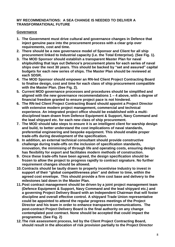#### **MY RECOMMENDATIONS: A SEA CHANGE IS NEEDED TO DELIVER A TRANSFORMATIONAL FUTURE**

#### **Governance**

- **1. The Government must drive cultural and governance changes in Defence that inject genuine pace into the procurement process with a clear grip over requirements, cost and time.**
- **2. There should be a new governance model of Sponsor and Client for all ship procurement linked to Industrial capacity (i.e. the Total Enterprise). (See Fig. 1).**
- **3. The MOD Sponsor should establish a transparent Master Plan for naval shipbuilding that lays out Defence's procurement plans for each series of naval ships over the next 30 years. This should be backed by "set and assured" capital budgets for each new series of ships. The Master Plan should be reviewed at each SDSR.**
- **4. The MOD Sponsor should empower an RN-led Client Project Contracting Board to finalise design, cost and time for each class of ship procurement compatible with the Master Plan. (See Fig. 2).**
- **5. Current MOD governance processes and procedures should be simplified and aligned with the new governance recommendations 1 – 4 above, with a degree of financial freedom granted to ensure project pace is not hindered.**
- **6. The RN-led Client Project Contracting Board should appoint a Project Director with extensive modern project management, commercial and technical experience. An integrated project office should be established with a multidisciplined team drawn from Defence Equipment & Support, Navy Command and the lead shipyard etc. for each new class of ship procurement.**
- **7. The MOD should take steps to ensure it is an intelligent client for warship design and build, to better understand the cost implications of naval standards, preferential engineering and bespoke equipment. This should enable proper trade-offs during development of the specification.**
- **8. In addition, an external technical consultant should provide constructive challenge during trade-offs on the inclusion of specification standards, innovation, the minimising of through life and operating costs, ensuring design has flexibility for export and facilitates modern methods of construction.**
- **9. Once these trade-offs have been agreed, the design specification should be frozen to allow the project to progress rapidly to contract signature. No further requirement changes should be allowed.**
- **10.Contracts should be tautly drawn to properly incentivise Industry to invest in support of their "global competitiveness plan" and deliver to time, within the agreed cost envelope. This should provide a firm cost base and delivery to the milestones laid down in the Master Plan.**
- **11.Post contract management should be driven by a joint project management team (Defence Equipment & Support, Navy Command and the lead shipyard etc.) and a governing Project Delivery Board with an Independent Chairman that will foster discipline and overall effective control. A shipyard Trade Union representative could be appointed to attend the regular progress meetings of the Project Director and his team in order to enhance transparent communications. The post-contract Project Delivery Board is the final authority on any change contemplated post contract. None should be accepted that could impact the programme. (See Fig. 2)**
- **12.The risk assessment process, led by the Client Project Contracting Board, should result in the allocation of risk provision partially to the Project Director**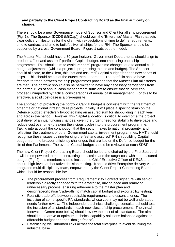#### **and partially to the Client Project Contracting Board as the final authority on change.**

There should be a new Governance model of Sponsor and Client for all ship procurement (Fig. 1). The Sponsor (DCDS (MilCap)) should own the 'Enterprise' Master Plan that sets clear delivery milestones for the client with expectations of time to define requirements, time to contract and time to build/deliver all ships for the RN. The Sponsor should be supported by a cross-Government Board. Figure 1 sets out the model.

The Master Plan should have a 30 year horizon. Government Departments should align to produce a "set and assured" portfolio Capital budget, encompassing each ship programme. This should aim to avoid 'random' programme changes due to annual cash budget adjustments (whilst a project is progressing to time and budget). The Sponsor should allocate, to the Client, this "set and assured" Capital budget for each new series of ships. This should be set at the outset then adhered to. The portfolio should have freedom to trade between the ship programmes provided that the Master Plan milestones are met. The portfolio should also be permitted to have any necessary derogations from the normal rules of annual cash management sufficient to ensure that delivery can proceed unimpeded by tactical considerations of annual cash management. For this to be effective, a solid cost-base is a pre-requisite.

The approach of protecting the portfolio Capital budget is consistent with the treatment of other major national infrastructure projects. Initially, it will place a specific strain on the Defence budget, effectively hypothecating an assured sum for shipbuilding in each year and across the period. However, this Capital allocation is critical to overcome the project cost driver of annual funding changes, given the urgent need for stability to drive pace and reduce cost over time (breaking the vicious cycle) into the procurement programme. Taking into account the contribution that the sector makes to national prosperity, and reflecting the treatment of other Government capital investment programmes, HMT should recognise these issues by ring-fencing the "set and assured" RN shipbuilding Capital budget from the broader efficiency challenges that are laid on the Defence budget for the life of that Parliament. The overall Capital budget should be reviewed at each SDSR.

The new Client Project Contracting Board should be led and chaired by the First Sea Lord. It will be empowered to meet contracting timescales and the target cost within the assured budget (Fig. 2). Its members should include the Chief Executive Officer of DE&S and ensure high-level, authoritative decision making. It should drive Enterprise delivery via an integrated multi-disciplinary team, empowered by the Client Project Contracting Board which should be responsible for:

- The procurement process from 'Requirements' to Contract signature with senior leadership directly engaged with the enterprise, driving pace and removing unnecessary process, ensuring adherence to the master plan and design/specification 'trade-offs' to match capital budget and exportability testing;
- Realistic trade-offs between desirable requirements and essential ones. The inclusion of some specific RN standards, whose cost may not be well understood, needs further review. The independent technical challenge consultant should test the inclusion of all standards in each new class of ship procurement. The virtual Innovation Centre (see below) should review the cost of all standards. The aim should be to arrive at optimum technical capability solutions balanced against an affordable budget and then 'design freeze'.
- Establishing well informed links across the total enterprise to avoid delinking the industrial base.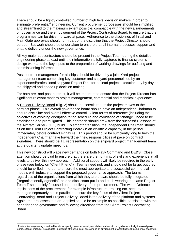There should be a tightly controlled number of high level decision makers in order to eliminate preferential<sup>4</sup> engineering. Current procurement processes should be simplified and streamlined to the maximum extent possible, compatible with the new arrangements of governance and the empowerment of the Project Contracting Board, to ensure that the programmes can be driven forward at pace. Adherence to the disciplines of Initial and Main Gate approvals should form part of the discipline that the Project Director should pursue. But work should be undertaken to ensure that all internal processes support and enable delivery under the new governance.

All key major subcontractors should be present in the Project Team during the detailed engineering phase at least until their information is fully captured to finalise systems design work and the key inputs to the preparation of working drawings for outfitting and commissioning information.

Post contract management for all ships should be driven by a joint Yard project management team comprising key customer and shipyard personnel, led by an experienced/professional shipyard Project Director, to lead project execution day by day at the shipyard and speed up decision making.

For both pre- and post-contract, it will be important to ensure that the Project Director has significant relevant modern project management, commercial and technical experience.

A Project Delivery Board (Fig. 2) should be constituted as the project moves to the contract phase. This overall governance board should have an Independent Chairman to ensure discipline and overall effective control. Clear terms of reference (including the objectives of avoiding disruption to the schedule and avoidance of "change") need to be established and promulgated. This approach should draw from the successful lessons of the Aircraft Carrier (QEC) build. To smooth transition, the Independent Chairman should sit on the Client Project Contracting Board (in an ex-officio capacity) in the period immediately before contract signature. This period should be sufficiently long to help the Independent Chairman take forward their new responsibilities at pace on contract signature. There should be TU representation on the shipyard project management team at the quarterly update meetings.

This new construct will place new demands on both Navy Command and DE&S. Close attention should be paid to ensure that there are the right mix of skills and experience at all levels to deliver this new approach. Additional support will likely be required in the early phase (see below on "Client Friend"). Teams need not, and should not be large, but they should be skilled, in order to ensure the most appropriate and successful commercial models with industry to support the proposed governance approach. The teams, regardless of the organisations from which they are drawn, should be fully integrated ("organisationally agnostic", as one discussant put it) and each wearing the same Project Team T-shirt, solely focussed on the delivery of the procurement. The wider Defence implications of the procurement, for example infrastructure, training etc, need to be managed separately but in parallel to ensure the key focus of the Client Project Contracting Board and Project Delivery Board is the delivery of the platform and systems. Again, the processes that are applied should be as simple as possible, consistent with the need for good governance and following directions from the Client Project Contracting Board.

**.** 

<sup>&</sup>lt;sup>4</sup> Preferential engineering is defined herein as 'specifying unnecessarily exquisite standards in design by technically-focussed project teams, often at limited or no accurate knowledge of the true cost, operating in an environment of weak financial/ commercial challenge'.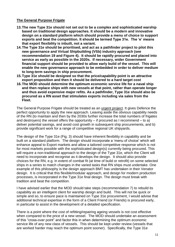#### **The General Purpose Frigate**

- **13.The new Type 31e should not set out to be a complex and sophisticated warship based on traditional design approaches. It should be a modern and innovative design on a standard platform which should provide a menu of choice to support exports and beat the competition. It should be termed Type 31e. The 'e' means that export flexibility is inbuilt, not a variant.**
- **14.The Type 31e should be prioritised, and act as a pathfinder project to pilot this new governance and Virtual Shipbuilding (VSb) industry approach (see recommendation 19 and Figure 4). It should be rapidly procured and placed into service as early as possible in the 2020s. If necessary, wider Government financial support should be provided to allow early build of the vessel. This will enable the new governance approach to be embedded in order to deliver medium to long-term savings in ship procurement.**
- **15.Type 31e should be designed so that the price/capability point is an attractive export proposition and then it should be delivered to a hard target cost**
- **16.The MOD should determine the optimum economic service life for a naval ship and then replace ships with new vessels at that point, rather than operate longer and thus avoid expensive major refits. As a pathfinder, Type 31e should also be procured as a RN asset that stimulates exports including via sales from the Fleet.**

The General Purpose Frigate should be treated as an urgent project. It gives Defence the perfect opportunity to apply the new approach. Leaving aside the obvious capability needs of the RN (to maintain and then by the 2030s further increase the total numbers of frigates and destroyers) the vessel offers the opportunity  $-$  if procured as I recommend  $-$  to a) deliver potential savings, and avoid cost growth in subsequent ship procurements, and b) provide significant work for a range of competitive regional UK shipyards.

The design of the Type 31e (Fig. 3) should have inherent flexibility in capability and be built on a standard platform. The design should incorporate a 'menu of choice' which will enhance appeal to Export markets and allow a tailored competitive response which is not for most markets possible with the sophisticated design(s) currently being procured. This will require a non-traditional approach to the design of the Type 31e, which the Client will need to incorporate and recognise as it develops the design. It should also provide choices for the RN, e.g. in extent of combat fit (at time of build or retrofit) on some selected ships in a series to match changes in the varied tasks that RN ships must undertake. One example of this philosophy is the design approach BMT has undertaken in their Venator design. It is critical that this flexible/modular approach, and design for modern production processes, is incorporated in the Type 31e final design. The design must break with tradition and beat the competition.

I have advised earlier that the MOD should take steps (recommendation 7) to rebuild its capability as an intelligent client for warship design and build. This will not be quick or simple and so, to ensure pace is maintained on Type 31e procurement, I would advise that additional technical expertise in the form of a Client Friend (or Friends) is procured early, in particular to assist in the development of a detailed specification.

There is a point where the cost of refitting/repairing ageing vessels is not cost effective when compared to the price of a new vessel. The MOD should undertake an assessment of this "cross-over point" and factor this in when determining the optimum economic service life of any new class of vessels. This should be kept under review (vessels that are worked harder may reach the optimum point sooner). Specifically, the Type 31e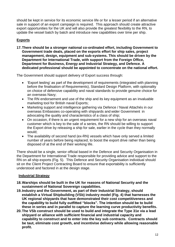should be kept in service for its economic service life or for a lesser period if an alternative sale in support of an export campaign is required. This approach should create attractive export opportunities for the UK and will also provide the greatest flexibility to the RN, to update the vessel batch by batch and introduce new capabilities over time per ship.

# **Exports**

**17.There should be a stronger national co-ordinated effort, including Government to Government trade deals, placed on the exports effort for ship sales, project management, design, equipment and sub-systems. This should be driven by the Department for International Trade, with support from the Foreign Office, Department for Business, Energy and Industrial Strategy, and Defence. A dedicated professional should be appointed to concentrate on the national effort.**

The Government should support delivery of Export success through:

- 'Export testing' as part of the development of requirements (integrated with planning before the finalisation of Requirements), Standard Design Platform, with optionality on choice of defensive capability and naval standards to provide genuine choice for an overseas Navy;
- The RN endorsement and use of the ship and its key equipment as an invaluable marketing tool for British naval Exports;
- Marketing support and intelligence gathering via Defence / Naval Attachés in our overseas Embassies co-operating with shipyards and wider Government in advocating the quality and characteristics of a class of ship;
- On occasion, if there is an urgent requirement for a new ship for an overseas naval customer which is key to the sale of a series, the RN should be willing to support the Export drive by releasing a ship for sale, earlier in the cycle than they normally would;
- The availability of second hand (ex-RN) vessels which have only served a limited number of years before being replaced, to boost the export drive rather than being disposed of at the end of their working life.

There should be a single, senior official based in the Defence and Security Organisation in the Department for International Trade responsible for providing advice and support to the RN on all ship exports (Fig. 5). This Defence and Security Organisation individual should sit on the Client Project Contracting Board to ensure that exportability is sufficiently understood and factored in at the design stage.

# **Industrial Strategy**

- **18.Warships should be built in the UK for reasons of National Security and the sustainment of National Sovereign capabilities.**
- **19.Industry and the Government, as part of their Industrial Strategy, should establish a Virtual Shipbuilding (VSb) industry model (Fig. 4) that harnesses the UK regional shipyards that have demonstrated their cost competitiveness and the capability to build fully outfitted "blocks". The intention should be to build these in series and in parallel to capture the learning curve productivity benefits.**
- **20.The VSb construct should be used to build and integrate the Type 31e via a lead shipyard or alliance with sufficient financial and industrial capacity and capability to construct and to enter into the key sub contracts. Contracts should be taut, eliminate cost growth, and incentivise delivery while allowing reasonable profit.**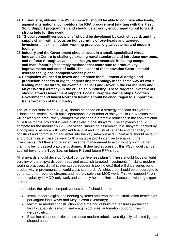- **21.UK industry, utilising the VSb approach, should be able to compete effectively, against international competitors for RFA procurement (starting with the Fleet Solid Support programme), and should be strongly encouraged to put forward strong bids for this work.**
- **22."Global competitiveness plans" should be developed by each shipyard, and the supply chain, with a focus on tight scrutiny of overheads and targeted investment in skills, modern working practices, digital systems, and modern tooling.**
- **23.Industry and the Government should invest in a small, specialised virtual Innovation Centre to challenge existing naval standards and introduce new ones, and to force through advances in design, new materials including composites and manufacturing/assembly methods that contribute to productivity improvements and cost of build. The leader of the Innovation Centre should oversee the "global competitiveness plans".**
- **24.Companies will need to invest and embrace the full potential design and production benefits of digital engineering technology in the same way as world leading manufacturers, for example Jaguar Land-Rover in the car industry and Meyer Werft (Germany) in the cruise ship industry. These targeted investments should attract Government support. Local Enterprise Partnerships, Scottish Government and Invest Northern Ireland should be encouraged to support the transformation of the industry.**

The VSb Industrial Model (Fig. 4) should be based on a strategy of a lead shipyard or alliance and 'series - block build' operations in a number of shipyards in UK Regions that will deliver high productivity, competitive cost and a dramatic reduction in the conventional build time for the project if it were built solely in one shipyard. The shipyards should compete for the modular build. The vessel should be assembled in a shipyard, backed by a company or alliance with sufficient financial and industrial capacity and capability to construct and commission and enter into the key sub-contracts. Contracts should be taut, and properly incentivise delivery (with a suitable profit incentive to enable further investment). But they should incentivise the management to avoid cost growth, rather than this being passed onto the customer. If deemed successful, this VSb model can be applied beyond the Type 31e, on future RN and future RFA ships.

All shipyards should develop "global competitiveness plans". These should focus on tight scrutiny of the shipyards overheads and establish targeted investments (in skills, modern working practices, digital systems, jigs, robotics & tooling etc.) that will drive series build productivity improvements to world class standards. All shipyards should be encouraged to generate other revenue streams and not rely solely on MOD work. This will support / iron out the volatility in MOD-only work and can only help maximise chances of winning export orders.

In particular, the "global competitiveness plans" should aim to:

- Install modern digital engineering systems and reap the industrialisation benefits as per Jaguar land Rover and Meyer Werft (Germany);
- Maximise modular construction and a method of build that ensures production facility capability is maximised – e.g. block size, automation opportunities in welding, etc.;
- Examine all opportunities to introduce modern robotics and digitally adjusted jigs for shaped units;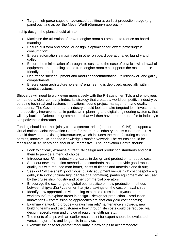Target high percentages of advanced outfitting at earliest production stage (e.g. panel outfitting as per the Meyer Werft (Germany) approach);

In ship design, the plans should aim to:

- Maximise the utilisation of proven engine room automation to reduce on board manning;
- Ensure hull form and propeller design is optimised for lowest powering/fuel consumption;
- Ensure automation is maximised in other on board operations: eg laundry and galley;
- Ensure the minimisation of through life costs and the ease of physical withdrawal of equipment and handling space from engine room etc. supports the maintenance friendly approach;
- Use off the shelf equipment and modular accommodation, toilet/shower, and galley compartments;
- Ensure 'open architecture' systems' engineering is deployed, especially within combat systems.

Shipyards will need to work even more closely with the RN customer, TUs and employees to map out a clear company Industrial strategy that creates a world competitive industry by pursuing technical and systems innovations, sound project management and quality operations. The Government and industry should look to make targeted joint investments in productivity improvements, in particular in planning and digital engineering systems, that will pay back on Defence programmes but that will then have broader benefits to Industry's competiveness thereafter.

Funding should be taken jointly from a contract price (no more than 0.1%) to support a virtual national Joint Innovation Centre for the marine industry and its customers. This should draw on the existing infrastructure, which includes the manufacturing catapult centres, Innovate UK and the Knowledge Transfer Network. The returns should be measured in 3-5 years and should be impressive. The Innovation Centre should:

- Look to critically examine current RN design and production standards and cost them to provide a menu of choice;
- Introduce new RN industry standards in design and production to reduce cost;
- Seek out new production methods and standards that can provide good robust quality but with reduced man hours, costs of fittings and materials and fit out;
- Seek out 'off the shelf' good robust quality equipment versus high cost bespoke e.g. galleys; laundry (include high degree of automation), pantry equipment etc. as used by the cruise ship industry and other commercial operators;
- Encourage the exchange of global best practice on new production methods between shipyard(s) / customer that yield savings on the cost of naval ships;
- Identify new opportunities via pooling expertise (cross industry/customer workgroups) to explore areas in design – design for production – production innovations – commissioning approaches etc. that can yield cost benefits;
- Examine via working groups drawn from refit/maintenance shipyards, new building teams and the customer – how through life costs could be reduced via design, specification and choice of equipment/fittings etc.;
- The merits of ships with an earlier resale point for export should be evaluated versus major refits and longer life in service;
- Examine the case for greater modularity in new ships to accommodate: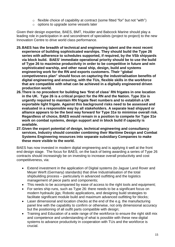- $\circ$  flexible choice of capability at contract (some fitted "for" but not "with")
- o options to upgrade some vessels later

Given their design expertise, BAES, BMT, Houlder and Babcock Marine should play a leading role in participation in and secondment of specialists (project to project) to the new Innovation Centre to drive world class performance.

- **25.BAES has the breadth of technical and engineering talent and the most recent experience of building sophisticated warships. They should build the Type 26 series with adherence to schedules supported, if required, by the VSb shipyards via block build. BAES' immediate operational priority should be to use the build of Type 26 to maximise productivity in order to be competitive in future and win sophisticated warship, and other naval ship, design, build and systems engineering work for the RN and exports customers. Their "global competiveness plan" should focus on capturing the industrialisation benefits of digital engineering and ensuring, with the TUs, flexible skills in the workforce that are compatible with what can be achieved in a digitally engineered driven production world.**
- **26.There is no precedent for building two 'first of class' RN frigates in one location in the UK. Type 26 is a critical project for the RN and the Nation. Type 31e is urgently required to maintain RN frigate fleet numbers and to establish a UK exportable light frigate. Against this background risks need to be assessed and evaluated in a responsible way by all stakeholders. A separate lead shipyard or alliance appears to be the best way forward for Type 31e to minimise overall risk. Regardless of choice, BAES would remain in a position to compete for Type 31e work on combat systems, design support and in block build if capacity is available.**
- **27.Given the export potential of design, technical engineering and consultancy services, Industry should consider combining their Maritime Design and Combat Systems Engineering resources into separate subsidiary Companies to make these more visible to the world.**

BAES has now invested in modern digital engineering and is applying it well at the front end design stage. The focus for BAES, on the back of being awarding a series of Type 26 contracts should increasingly be on investing to increase overall productivity and cost competitiveness, via:

- Extend investment in the application of Digital systems (to Jaguar Land Rover and Meyer Werft (Germany) standards) that drive Industrialisation of the total shipbuilding process – particularly in advanced outfitting and the logistics management of piece parts and components;
- This needs to be accompanied by ease of access to the right tools and equipment;
- For series ship runs, such as Type 26: there needs to be a significant focus on modern hydraulic jigs; Robotic applications, and designing build strategies to facilitate significant module build and maximum advanced outfitting for blocks;
- Laser dimensional and location checks at the end of the e.g. the manufacturing panel line with the capability to confirm or otherwise, not only dimensional accuracy but the positioning of all outfit parts compatible with design;
- Training and Education of a wide range of the workforce to ensure the right skill mix and competence and understanding of what is possible with these new digital systems to advance productivity in cooperation with TUs and the workforce is crucial.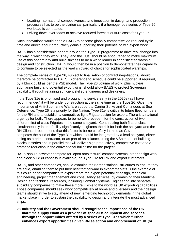- Leading International competitiveness and innovation in design and production processes has to be the clarion call particularly if a homogenous series of Type 26 workload is contracted;
- Driving down overheads to achieve reduced forecast outturn costs for Type 26.

Such innovations would enable BAES to become globally competitive via reduced cycle time and direct labour productivity gains supporting their potential to win export work.

BAES has a considerable opportunity via the Type 26 programme to drive real change into the way in which they work. They, and the TUs, should be encouraged to make maximum use of this opportunity and build success to be a world leader in sophisticated warship design and construction. BAES would then be in a position to demonstrate their capability to continue to be selected as the lead shipyard of choice for sophisticated warships.

The complete series of Type 26, subject to finalisation of contract negotiations, should therefore be contracted to BAES. Adherence to schedule could be supported, if required, by a block build as per the VSb model. The Type 26 volume of work, plus nuclear submarine build and potential export wins, should allow BAES to protect Sovereign capability through retaining sufficient skilled engineers and designers.

If the Type 31e is prioritised and brought into service early in the 2020s (as I have recommended) it will be under construction at the same time as the Type 26. Given the importance of Anti-Submarine Warfare support to Carrier Strike and Continuous at Sea Deterrence, Type 26 is a priority for the Nation. Type 31e is critical to future fleet numbers for the RN and to establish a competitive light Frigate design for export. There is a national urgency for both. There appears to be no UK precedent for the construction of two different first of class Frigates in the same shipyard. Constructing both first of class simultaneously in one facility significantly heightens the risk for both the shipyard and the RN Client. I recommend that this factor is borne carefully in mind as Government competes the build of the Type 31e which should be integrated by a lead shipyard, either acting as a prime contractor, or as part of an alliance, using the VSb model of building blocks in series and in parallel that will deliver high productivity, competitive cost and a dramatic reduction in the conventional build time for the project.

BAES should however compete for 'open architecture' combat systems, other design work and block build (if capacity is available) on Type 31e for RN and export customers.

BAES, and other companies, should examine their organisational structures to ensure they are agile, enabling them to put their best foot forward in export markets. One example of this could be for companies to exploit more the export potential of design, technical engineering, project management and consultancy services, by combining their Maritime Design and technical resources, including Combat Systems Engineering into separate subsidiary companies to make these more visible to the world as UK exporting capabilities. Those companies should seek work competitively at home and overseas and their design teams should strive to stay ahead of new, emerging technology demands in the global market place in order to sustain the capability to design and integrate the most advanced ships.

#### **28.Industry and the Government should recognise the importance of the UK maritime supply chain as a provider of specialist equipment and services, through the opportunities offered by a series of Type 31es which further enhances export opportunities given RN selection and endorsement of UK (or**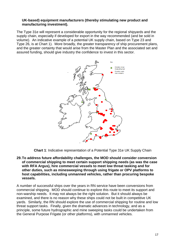#### **UK-based) equipment manufacturers (thereby stimulating new product and manufacturing investment).**

The Type 31e will represent a considerable opportunity for the regional shipyards and the supply chain, especially if developed for export in the way recommended (and be sold in volume). An indicative example of a potential UK supply chain, based on Type 23 and Type 26, is at Chart 1). More broadly, the greater transparency of ship procurement plans, and the greater certainty that would arise from the Master Plan and the associated set and assured funding, should give industry the confidence to invest in this sector.



**Chart 1**: Indicative representation of a Potential Type 31e UK Supply Chain

**29.To address future affordability challenges, the MOD should consider conversion of commercial shipping to meet certain support shipping needs (as was the case with RFA Argus), hire commercial vessels to meet low threat tasking and for other duties, such as minesweeping through using frigate or OPV platforms to host capabilities, including unmanned vehicles, rather than procuring bespoke vessels.**

A number of successful ships over the years in RN service have been conversions from commercial shipping. MOD should continue to explore this route to meet its support and non-warship needs. It may not always be the right solution. But it should always be examined, and there is no reason why these ships could not be built in competitive UK yards. Similarly, the RN should explore the use of commercial shipping for routine and low threat support tasks. Finally, given the dramatic advances in technology, and as a principle, some future hydrographic and mine sweeping tasks could be undertaken from the General Purpose Frigate (or other platforms), with unmanned vehicles.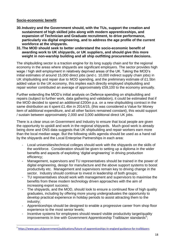#### **Socio-economic benefit**

**.** 

- **30.Industry and the Government should, with the TUs, support the creation and sustainment of high skilled jobs along with modern apprenticeships, and expansion of Technician and Graduate recruitment, to drive performance, particularly via digital engineering, and to address the age profile of the current workforce at the shipyards.**
- **31.The MOD should seek to better understand the socio-economic benefit of awarding work to UK shipyards, or UK suppliers, and should give this more weight in non-warship building and all ship outfitting procurement decisions.**

The shipbuilding sector is a traction engine for its long supply chain and for the regional economy in the areas where shipyards are significant employers. The sector provides high wage / high skill employment in relatively deprived areas of the UK. Taking the MOD's initial estimates of around 15,000 direct jobs (and c. 10,000 indirect supply chain jobs) in UK shipbuilding and repair due to MOD spending, and the preliminary estimate of £1.5bn added value to the UK economy, this implies each directly employed shipbuilding and repair worker contributed an average of approximately £59,100 to the economy annually.

Further extending the MOD's initial analysis on Defence spending on shipbuilding and repairs (subject to further work, data gathering and validation), it could be estimated that if the MOD decided to spend an additional £200m p.a. on a new shipbuilding contract in the same distribution as it spent £1.4bn in 2014/15, (this was considered a Value for Money item of additional expenditure, and all other factors remained constant), this would support / sustain between approximately 2,000 and 3,000 additional direct UK jobs.

There is a clear onus on Government and Industry to ensure that local people are given the opportunity to upskill and work in the regional shipyards. Much good work is already being done and ONS data suggests that UK shipbuilding and repair workers earn more than the local median wage. But the following skills agenda should be used as a hand rail by the shipyards and the Local Enterprise Partnerships in each area:

- Local universities/technical colleges should work with the shipyards on the skills of the workforce. Consideration should be given to setting up a diploma in the wider benefits and aspects of exploiting 'digital engineering' in driving production efficiency;
- Management, supervisors and TU representatives should be trained in the power of digital engineering, design for manufacture and the above support systems to boost productivity etc. Management and supervisors remain key to driving change in the sector. Industry should continue to invest in leadership of both groups;
- TU representatives should work with management and supervisors to maximise the benefits from these modern technology driven approaches with the aim of increasing export success;
- The shipyards, and the MOD, should look to ensure a continued flow of high quality graduates, including by offering more young undergraduates the opportunity to develop practical experience in holiday periods to assist attracting them to the industry;
- Apprenticeships should be designed to enable a progressive career from shop floor experience to the most senior levels;
- Incentive systems for employees should reward visible productivity target/quality improvements In line with Government Apprenticeship Trailblazer standards<sup>5</sup>;

<sup>&</sup>lt;sup>5</sup> <https://www.gov.uk/government/publications/future-of-apprenticeships-in-england-guidance-for-trailblazers>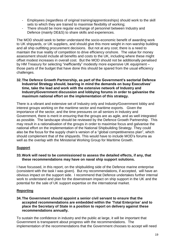- Employees (regardless of original training/apprenticeships) should work to the skill sets to which they are trained to maximise flexibility of working;
- There should be more regular exchange of personnel between Industry and Defence (mainly DE&S) to share skills and experiences.

The MOD should seek to better understand the socio-economic benefit of awarding work to UK shipyards, or UK suppliers, and should give this more weight in non-warship building and all ship outfitting procurement decisions. But not at any cost; there is a need to maintain the true reality of competition to drive efficiency onshore. The value for money assessment should include all benefits and costs to the UK, including where these might offset modest increases in overall cost. But the MOD should not be additionally penalised by HM Treasury for selecting "inefficiently" modestly more expensive UK equipment – those parts of the budget that have done this should be spared from the usual efficiency challenges.

#### **32.The Defence Growth Partnership, as part of the Government's sectorial Defence Industrial Strategy should, bearing in mind the demands on busy Executives' time, take the lead and work with the extensive network of Industry and Industry/Government discussion and lobbying forums in order to galvanise the maximum national effort on the implementation of this strategy.**

There is a vibrant and extensive set of Industry only and Industry/Government lobby and interest groups working on the maritime sector and maritime exports. Given the importance of the sector, and the time pressures on all seniors in Industry and Government, there is merit in ensuring that the groups are as agile, and as well integrated as possible. The landscape should be reviewed by the Defence Growth Partnership. This may result in a rationalisation of the groups in order to maximise focus and galvanise the national effort on the implementation of the National Shipbuilding Strategy. They could also be the focus for the supply chain's version of a "global competitiveness plan", which should complement that of the shipyards. This would have to include MOD's forums as well as the overlap with the Ministerial Working Group for Maritime Growth.

# **Support**

#### **33.Work will need to be commissioned to assess the detailed effects, if any, that these recommendations may have on naval ship support solutions.**

I have focussed, in this report, on the shipbuilding side of the Defence marine enterprise (consistent with the task I was given). But my recommendations, if accepted, will have an obvious impact on the support side. I recommend that Defence undertakes further internal work to understand and plan for the downstream impact on ship support in the UK and the potential for the sale of UK support expertise on the international market.

#### **Reporting**

#### **34.The Government should appoint a senior civil servant to ensure that the accepted recommendations are embedded within the 'Total Enterprise' and to place the Secretary of State in a position to report on delivery against these recommendations annually.**

To sustain the confidence in industry and the public at large, it will be important that Government is transparent about progress with the recommendations. The implementation of the recommendations that the Government chooses to accept will need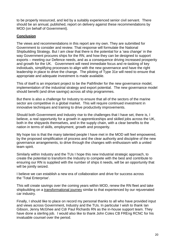to be properly resourced, and led by a suitably experienced senior civil servant. There should be an annual, published, report on delivery against these recommendations by MOD (on behalf of Government).

## **Conclusion**

The views and recommendations in this report are my own. They are submitted for Government to consider and review. That response will formulate the National Shipbuilding Strategy. But I am clear that there is the potential for a 'sea change' in the way Government procures ships for the RN, and how they can be designed to support exports – meeting our Defence needs, and as a consequence driving increased prosperity and growth for the UK. Government will need immediate focus and re-tasking of key individuals, simplifying processes to align with the new governance and have the right leadership in place to drive the change. The piloting of Type 31e will need to ensure that appropriate and adequate investment is made available.

This of itself is an important project to be the Pathfinder for the new governance model, implementation of the industrial strategy and export potential. The new governance model should benefit (and drive savings) across all ship programmes.

But there is also a challenge for Industry to ensure that all of the sectors of the marine sector are competitive in a global market. This will require continued investment in innovative techniques and training to drive productivity improvements.

Should both Government and Industry rise to the challenges that I have set, there is, I believe, a real opportunity for a growth in apprenticeships and skilled jobs across the UK, both in the shipyards themselves, and in the supply chain, with a clear benefits to the nation in terms of skills, employment, growth and prosperity.

My hope too is that the many talented people I have met in the MOD will feel empowered, by the proposed simplification of process and the clear authority and discipline of the new governance arrangements, to drive through the changes with enthusiasm with a united team spirit.

Similarly within Industry and the TUs I hope this new Industrial strategic approach, to create the potential to transform the Industry to compete with the best and contribute to ensuring our RN is supplied with the number of ships it needs, will be an opportunity that will be jointly seized.

I believe we can establish a new era of collaboration and drive for success across the 'Total Enterprise'.

This will create savings over the coming years within MOD, renew the RN fleet and take shipbuilding on a transformational journey similar to that experienced by our rejuvenated car industry.

Finally, I should like to place on record my personal thanks to all who have provided input and views across Government, Industry and the TUs. In particular I wish to thank Ian Gibson, Jenny McGhee and Cdr Paul Richards RN as the in-house support team. They have done a sterling job. I would also like to thank John Coles CB FREng RCNC for his invaluable counsel over the period.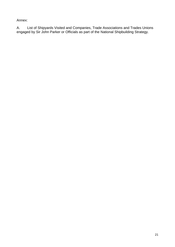Annex:

A. List of Shipyards Visited and Companies, Trade Associations and Trades Unions engaged by Sir John Parker or Officials as part of the National Shipbuilding Strategy.